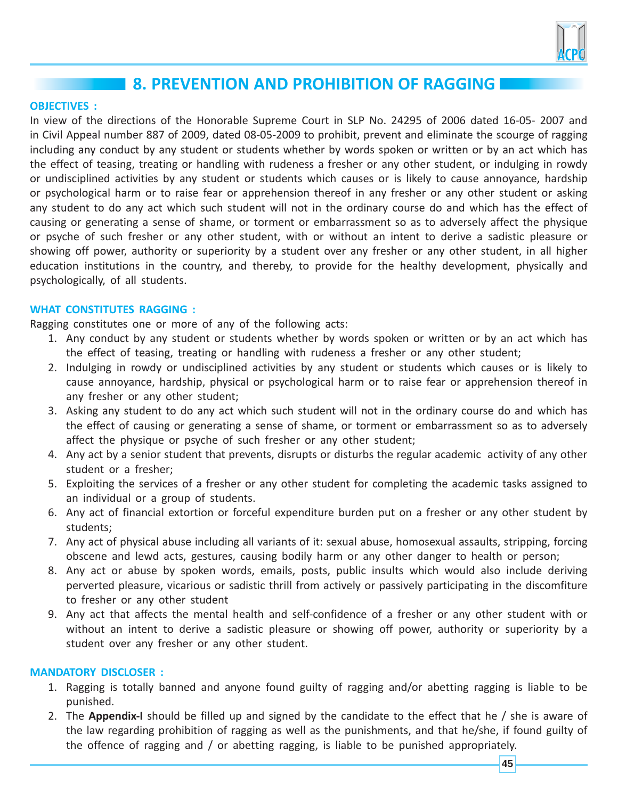

# **8. PREVENTION AND PROHIBITION OF RAGGING**

#### **OBJECTIVES :**

In view of the directions of the Honorable Supreme Court in SLP No. 24295 of 2006 dated 16-05- 2007 and in Civil Appeal number 887 of 2009, dated 08-05-2009 to prohibit, prevent and eliminate the scourge of ragging including any conduct by any student or students whether by words spoken or written or by an act which has the effect of teasing, treating or handling with rudeness a fresher or any other student, or indulging in rowdy or undisciplined activities by any student or students which causes or is likely to cause annoyance, hardship or psychological harm or to raise fear or apprehension thereof in any fresher or any other student or asking any student to do any act which such student will not in the ordinary course do and which has the effect of causing or generating a sense of shame, or torment or embarrassment so as to adversely affect the physique or psyche of such fresher or any other student, with or without an intent to derive a sadistic pleasure or showing off power, authority or superiority by a student over any fresher or any other student, in all higher education institutions in the country, and thereby, to provide for the healthy development, physically and psychologically, of all students. **2.2**

## **WHAT CONSTITUTES RAGGING :**

Ragging constitutes one or more of any of the following acts:

- 1. Any conduct by any student or students whether by words spoken or written or by an act which has the effect of teasing, treating or handling with rudeness a fresher or any other student;
- 2. Indulging in rowdy or undisciplined activities by any student or students which causes or is likely to cause annoyance, hardship, physical or psychological harm or to raise fear or apprehension thereof in any fresher or any other student;
- 3. Asking any student to do any act which such student will not in the ordinary course do and which has the effect of causing or generating a sense of shame, or torment or embarrassment so as to adversely affect the physique or psyche of such fresher or any other student;
- 4. Any act by a senior student that prevents, disrupts or disturbs the regular academic activity of any other student or a fresher;
- 5. Exploiting the services of a fresher or any other student for completing the academic tasks assigned to an individual or a group of students.
- 6. Any act of financial extortion or forceful expenditure burden put on a fresher or any other student by students;
- 7. Any act of physical abuse including all variants of it: sexual abuse, homosexual assaults, stripping, forcing obscene and lewd acts, gestures, causing bodily harm or any other danger to health or person;
- 8. Any act or abuse by spoken words, emails, posts, public insults which would also include deriving perverted pleasure, vicarious or sadistic thrill from actively or passively participating in the discomfiture to fresher or any other student
- 9. Any act that affects the mental health and self-confidence of a fresher or any other student with or without an intent to derive a sadistic pleasure or showing off power, authority or superiority by a student over any fresher or any other student.

#### **MANDATORY DISCLOSER :**

- 1. Ragging is totally banned and anyone found guilty of ragging and/or abetting ragging is liable to be punished.
- 2. The **Appendix-I** should be filled up and signed by the candidate to the effect that he / she is aware of the law regarding prohibition of ragging as well as the punishments, and that he/she, if found guilty of the offence of ragging and / or abetting ragging, is liable to be punished appropriately.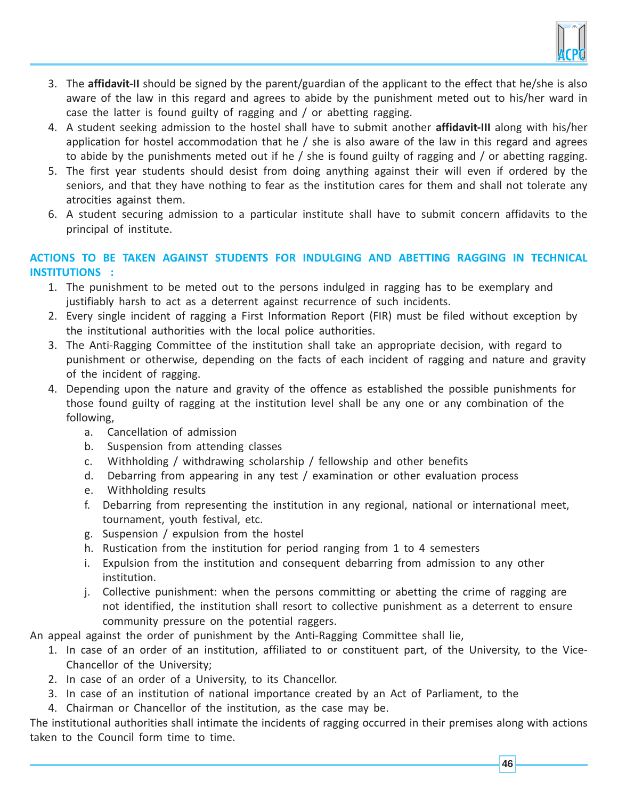

- 3. The **affidavit-II** should be signed by the parent/guardian of the applicant to the effect that he/she is also aware of the law in this regard and agrees to abide by the punishment meted out to his/her ward in case the latter is found guilty of ragging and / or abetting ragging.
- 4. A student seeking admission to the hostel shall have to submit another **affidavit-III** along with his/her application for hostel accommodation that he  $/$  she is also aware of the law in this regard and agrees to abide by the punishments meted out if he / she is found guilty of ragging and / or abetting ragging.
- 5. The first year students should desist from doing anything against their will even if ordered by the seniors, and that they have nothing to fear as the institution cares for them and shall not tolerate any atrocities against them.
- 6. A student securing admission to a particular institute shall have to submit concern affidavits to the principal of institute.

## **ACTIONS TO BE TAKEN AGAINST STUDENTS FOR INDULGING AND ABETTING RAGGING IN TECHNICAL INSTITUTIONS :**

- 1. The punishment to be meted out to the persons indulged in ragging has to be exemplary and justifiably harsh to act as a deterrent against recurrence of such incidents.
- 2. Every single incident of ragging a First Information Report (FIR) must be filed without exception by the institutional authorities with the local police authorities.
- 3. The Anti-Ragging Committee of the institution shall take an appropriate decision, with regard to punishment or otherwise, depending on the facts of each incident of ragging and nature and gravity of the incident of ragging.
- 4. Depending upon the nature and gravity of the offence as established the possible punishments for those found guilty of ragging at the institution level shall be any one or any combination of the following,
	- a. Cancellation of admission
	- b. Suspension from attending classes
	- c. Withholding / withdrawing scholarship / fellowship and other benefits
	- d. Debarring from appearing in any test / examination or other evaluation process
	- e. Withholding results
	- f. Debarring from representing the institution in any regional, national or international meet, tournament, youth festival, etc.
	- g. Suspension / expulsion from the hostel
	- h. Rustication from the institution for period ranging from 1 to 4 semesters
	- i. Expulsion from the institution and consequent debarring from admission to any other institution.
	- j. Collective punishment: when the persons committing or abetting the crime of ragging are not identified, the institution shall resort to collective punishment as a deterrent to ensure community pressure on the potential raggers.

An appeal against the order of punishment by the Anti-Ragging Committee shall lie,

- 1. In case of an order of an institution, affiliated to or constituent part, of the University, to the Vice-Chancellor of the University;
- 2. In case of an order of a University, to its Chancellor.
- 3. In case of an institution of national importance created by an Act of Parliament, to the
- 4. Chairman or Chancellor of the institution, as the case may be.

The institutional authorities shall intimate the incidents of ragging occurred in their premises along with actions taken to the Council form time to time.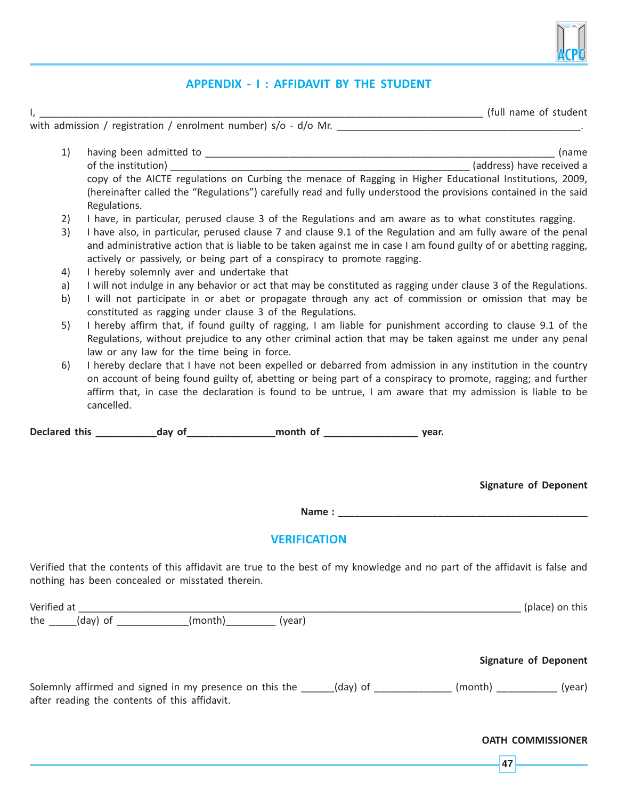

## **APPENDIX - I : AFFIDAVIT BY THE STUDENT**

I, \_\_\_\_\_\_\_\_\_\_\_\_\_\_\_\_\_\_\_\_\_\_\_\_\_\_\_\_\_\_\_\_\_\_\_\_\_\_\_\_\_\_\_\_\_\_\_\_\_\_\_\_\_\_\_\_\_\_\_\_\_\_\_\_\_\_\_\_\_\_\_\_\_\_\_\_\_\_\_\_ (full name of student

with admission / registration / enrolment number) s/o - d/o Mr. \_\_\_\_\_\_\_\_\_\_\_\_\_\_\_\_\_\_\_\_\_\_\_\_\_\_\_\_\_\_\_\_\_\_\_\_\_\_\_\_\_\_\_\_.

- 1) having been admitted to \_\_\_\_\_\_\_\_\_\_\_\_\_\_\_\_\_\_\_\_\_\_\_\_\_\_\_\_\_\_\_\_\_\_\_\_\_\_\_\_\_\_\_\_\_\_\_\_\_\_\_\_\_\_\_\_\_\_\_\_\_\_\_ (name of the institution) \_\_\_\_\_\_\_\_\_\_\_\_\_\_\_\_\_\_\_\_\_\_\_\_\_\_\_\_\_\_\_\_\_\_\_\_\_\_\_\_\_\_\_\_\_\_\_\_\_\_\_\_\_\_ (address) have received a copy of the AICTE regulations on Curbing the menace of Ragging in Higher Educational Institutions, 2009, (hereinafter called the "Regulations") carefully read and fully understood the provisions contained in the said Regulations.
- 2) I have, in particular, perused clause 3 of the Regulations and am aware as to what constitutes ragging.
- 3) I have also, in particular, perused clause 7 and clause 9.1 of the Regulation and am fully aware of the penal and administrative action that is liable to be taken against me in case I am found guilty of or abetting ragging, actively or passively, or being part of a conspiracy to promote ragging.
- 4) I hereby solemnly aver and undertake that
- a) I will not indulge in any behavior or act that may be constituted as ragging under clause 3 of the Regulations.
- b) I will not participate in or abet or propagate through any act of commission or omission that may be constituted as ragging under clause 3 of the Regulations.
- 5) I hereby affirm that, if found guilty of ragging, I am liable for punishment according to clause 9.1 of the Regulations, without prejudice to any other criminal action that may be taken against me under any penal law or any law for the time being in force.
- 6) I hereby declare that I have not been expelled or debarred from admission in any institution in the country on account of being found guilty of, abetting or being part of a conspiracy to promote, ragging; and further affirm that, in case the declaration is found to be untrue, I am aware that my admission is liable to be cancelled.

**Declared this \_\_\_\_\_\_\_\_\_\_\_day of\_\_\_\_\_\_\_\_\_\_\_\_\_\_\_\_month of \_\_\_\_\_\_\_\_\_\_\_\_\_\_\_\_\_ year.**

**Signature of Deponent**

**Name : \_\_\_\_\_\_\_\_\_\_\_\_\_\_\_\_\_\_\_\_\_\_\_\_\_\_\_\_\_\_\_\_\_\_\_\_\_\_\_\_\_\_\_\_\_**

## **VERIFICATION**

Verified that the contents of this affidavit are true to the best of my knowledge and no part of the affidavit is false and nothing has been concealed or misstated therein.

| Verified at |          |         |        | (place) on this |
|-------------|----------|---------|--------|-----------------|
| the         | (day) of | (month) | (year) |                 |
|             |          |         |        |                 |

#### **Signature of Deponent**

Solemnly affirmed and signed in my presence on this the \_\_\_\_\_(day) of \_\_\_\_\_\_\_\_\_\_\_\_ (month) \_\_\_\_\_\_\_\_\_\_\_ (year) after reading the contents of this affidavit.

**OATH COMMISSIONER**